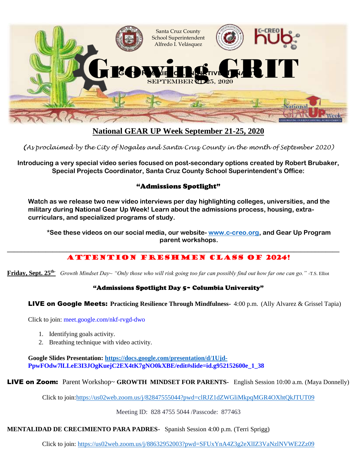

# **National GEAR UP Week September 21-25, 2020**

*(As proclaimed by the City of Nogales and Santa Cruz County in the month of September 2020)*

**Introducing a very special video series focused on post-secondary options created by Robert Brubaker, Special Projects Coordinator, Santa Cruz County School Superintendent's Office:** 

### "Admissions Spotlight"

**Watch as we release two new video interviews per day highlighting colleges, universities, and the military during National Gear Up Week! Learn about the admissions process, housing, extracurriculars, and specialized programs of study.** 

**\*See these videos on our social media, our website- [www.c-creo.org,](http://www.c-creo.org/) and Gear Up Program parent workshops.**

## ATTENTION FRESHMEN CLASS of 2024!

**Friday, Sept. 25th-** *Growth Mindset Day~ "Only those who will risk going too far can possibly find out how far one can go." -*T.S. Elliot

#### "Admissions Spotlight Day 5~ Columbia University"

LIVE on Google Meets: **Practicing Resilience Through Mindfulness-** 4:00 p.m. (Ally Alvarez & Grissel Tapia)

Click to join: meet.google.com/nkf-rvgd-dwo

- 1. Identifying goals activity.
- 2. Breathing technique with video activity.

**Google Slides Presentation:<https://docs.google.com/presentation/d/1Ujd->PpwFOdw7lLLeE3I3JOgKuejC2EX4tK7gNO0kXBE/edit#slide=id.g952152600e\_1\_38**

LIVE on Zoom: Parent Workshop~ **GROWTH MINDSET FOR PARENTS-** English Session 10:00 a.m. (Maya Donnelly)

Click to join[:https://us02web.zoom.us/j/82847555044?pwd=clRJZ1dZWGliMkpqMGR4OXhtQkJTUT09](https://us02web.zoom.us/j/82847555044?pwd=clRJZ1dZWGliMkpqMGR4OXhtQkJTUT09)

Meeting ID: 828 4755 5044 /Passcode: 877463

#### **MENTALIDAD DE CRECIMIENTO PARA PADRES**- Spanish Session 4:00 p.m. (Terri Sprigg)

Click to join: <https://us02web.zoom.us/j/88632952003?pwd=SFUxYnA4Z3g2eXlIZ3VaNzlNVWE2Zz09>